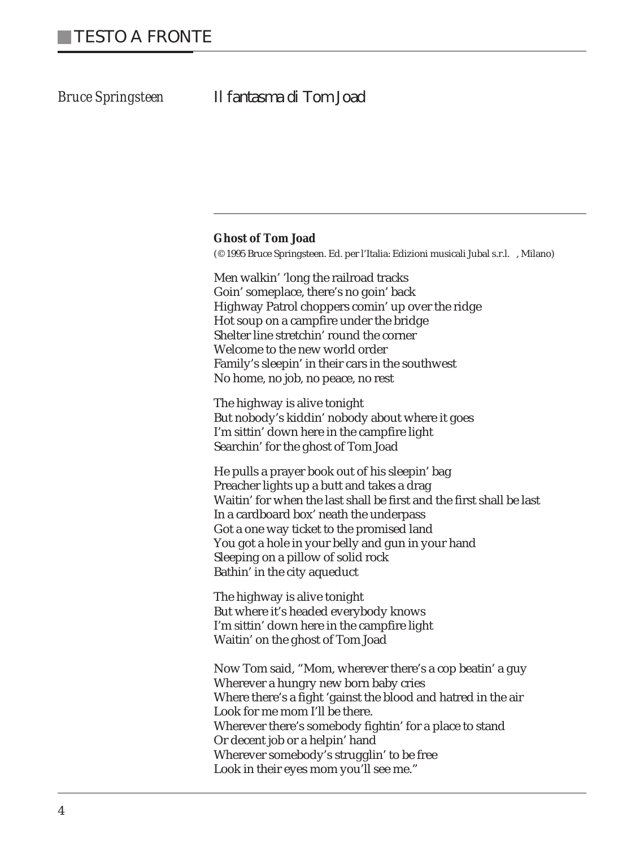# *Bruce Springsteen* **Il fantasma di Tom Joad**

### **Ghost of Tom Joad**

(© 1995 Bruce Springsteen. Ed. per l'Italia: Edizioni musicali Jubal s.r.l. , Milano)

Men walkin' 'long the railroad tracks Goin' someplace, there's no goin' back Highway Patrol choppers comin' up over the ridge Hot soup on a campfire under the bridge Shelter line stretchin' round the corner Welcome to the new world order Family's sleepin' in their cars in the southwest No home, no job, no peace, no rest

The highway is alive tonight But nobody's kiddin' nobody about where it goes I'm sittin' down here in the campfire light Searchin' for the ghost of Tom Joad

He pulls a prayer book out of his sleepin' bag Preacher lights up a butt and takes a drag Waitin' for when the last shall be first and the first shall be last In a cardboard box' neath the underpass Got a one way ticket to the promised land You got a hole in your belly and gun in your hand Sleeping on a pillow of solid rock Bathin' in the city aqueduct

The highway is alive tonight But where it's headed everybody knows I'm sittin' down here in the campfire light Waitin' on the ghost of Tom Joad

Now Tom said, "Mom, wherever there's a cop beatin' a guy Wherever a hungry new born baby cries Where there's a fight 'gainst the blood and hatred in the air Look for me mom I'll be there. Wherever there's somebody fightin' for a place to stand Or decent job or a helpin' hand Wherever somebody's strugglin' to be free Look in their eyes mom you'll see me."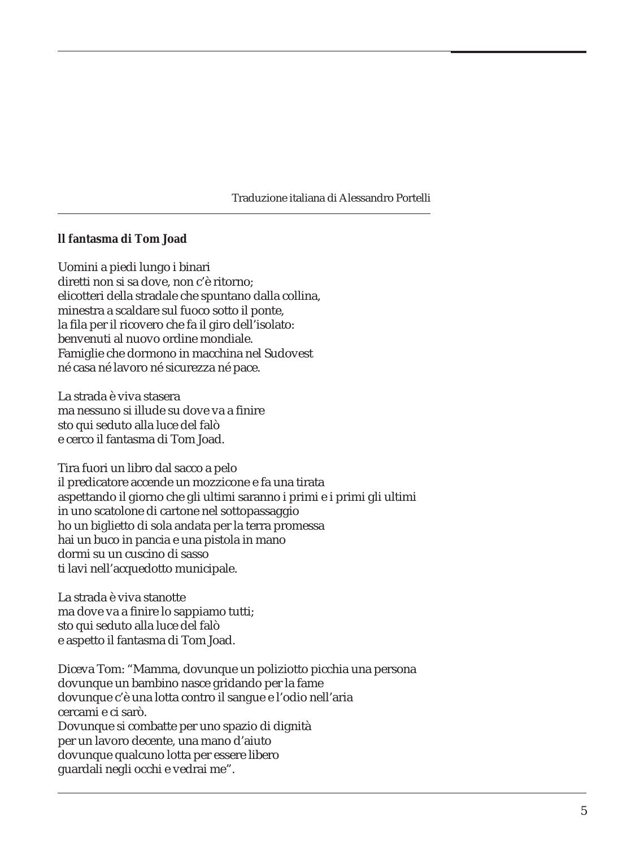Traduzione italiana di Alessandro Portelli

## **ll fantasma di Tom Joad**

Uomini a piedi lungo i binari diretti non si sa dove, non c'è ritorno; elicotteri della stradale che spuntano dalla collina, minestra a scaldare sul fuoco sotto il ponte, la fila per il ricovero che fa il giro dell'isolato: benvenuti al nuovo ordine mondiale. Famiglie che dormono in macchina nel Sudovest né casa né lavoro né sicurezza né pace.

La strada è viva stasera ma nessuno si illude su dove va a finire sto qui seduto alla luce del falò e cerco il fantasma di Tom Joad.

Tira fuori un libro dal sacco a pelo il predicatore accende un mozzicone e fa una tirata aspettando il giorno che gli ultimi saranno i primi e i primi gli ultimi in uno scatolone di cartone nel sottopassaggio ho un biglietto di sola andata per la terra promessa hai un buco in pancia e una pistola in mano dormi su un cuscino di sasso ti lavi nell'acquedotto municipale.

La strada è viva stanotte ma dove va a finire lo sappiamo tutti; sto qui seduto alla luce del falò e aspetto il fantasma di Tom Joad.

Diceva Tom: "Mamma, dovunque un poliziotto picchia una persona dovunque un bambino nasce gridando per la fame dovunque c'è una lotta contro il sangue e l'odio nell'aria cercami e ci sarò. Dovunque si combatte per uno spazio di dignità per un lavoro decente, una mano d'aiuto dovunque qualcuno lotta per essere libero guardali negli occhi e vedrai me".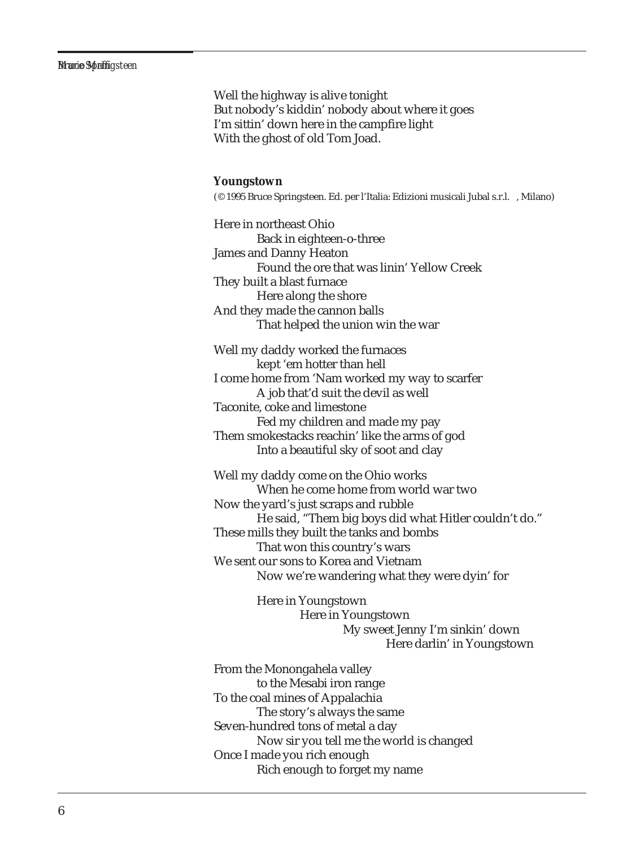### *Mario Maffi Bruce Springsteen*

Well the highway is alive tonight But nobody's kiddin' nobody about where it goes I'm sittin' down here in the campfire light With the ghost of old Tom Joad.

### **Youngstown**

(© 1995 Bruce Springsteen. Ed. per l'Italia: Edizioni musicali Jubal s.r.l. , Milano)

Here in northeast Ohio Back in eighteen-o-three James and Danny Heaton Found the ore that was linin' Yellow Creek They built a blast furnace Here along the shore And they made the cannon balls That helped the union win the war

Well my daddy worked the furnaces kept 'em hotter than hell I come home from 'Nam worked my way to scarfer A job that'd suit the devil as well Taconite, coke and limestone Fed my children and made my pay Them smokestacks reachin' like the arms of god Into a beautiful sky of soot and clay

Well my daddy come on the Ohio works When he come home from world war two Now the yard's just scraps and rubble He said, "Them big boys did what Hitler couldn't do." These mills they built the tanks and bombs That won this country's wars We sent our sons to Korea and Vietnam Now we're wandering what they were dyin' for

> Here in Youngstown Here in Youngstown My sweet Jenny I'm sinkin' down Here darlin' in Youngstown

From the Monongahela valley to the Mesabi iron range To the coal mines of Appalachia The story's always the same Seven-hundred tons of metal a day Now sir you tell me the world is changed Once I made you rich enough Rich enough to forget my name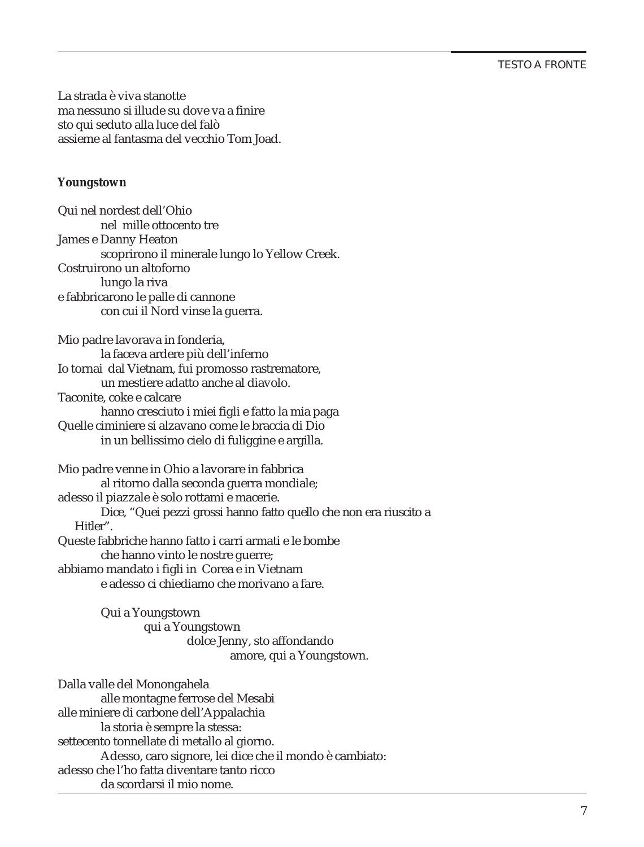La strada è viva stanotte ma nessuno si illude su dove va a finire sto qui seduto alla luce del falò assieme al fantasma del vecchio Tom Joad.

### **Youngstown**

Qui nel nordest dell'Ohio nel mille ottocento tre James e Danny Heaton scoprirono il minerale lungo lo Yellow Creek. Costruirono un altoforno lungo la riva e fabbricarono le palle di cannone con cui il Nord vinse la guerra. Mio padre lavorava in fonderia, la faceva ardere più dell'inferno Io tornai dal Vietnam, fui promosso rastrematore, un mestiere adatto anche al diavolo. Taconite, coke e calcare hanno cresciuto i miei figli e fatto la mia paga Quelle ciminiere si alzavano come le braccia di Dio in un bellissimo cielo di fuliggine e argilla. Mio padre venne in Ohio a lavorare in fabbrica al ritorno dalla seconda guerra mondiale; adesso il piazzale è solo rottami e macerie. Dice, "Quei pezzi grossi hanno fatto quello che non era riuscito a Hitler". Queste fabbriche hanno fatto i carri armati e le bombe che hanno vinto le nostre guerre; abbiamo mandato i figli in Corea e in Vietnam e adesso ci chiediamo che morivano a fare. Qui a Youngstown qui a Youngstown dolce Jenny, sto affondando amore, qui a Youngstown. Dalla valle del Monongahela

alle montagne ferrose del Mesabi alle miniere di carbone dell'Appalachia la storia è sempre la stessa: settecento tonnellate di metallo al giorno. Adesso, caro signore, lei dice che il mondo è cambiato: adesso che l'ho fatta diventare tanto ricco da scordarsi il mio nome.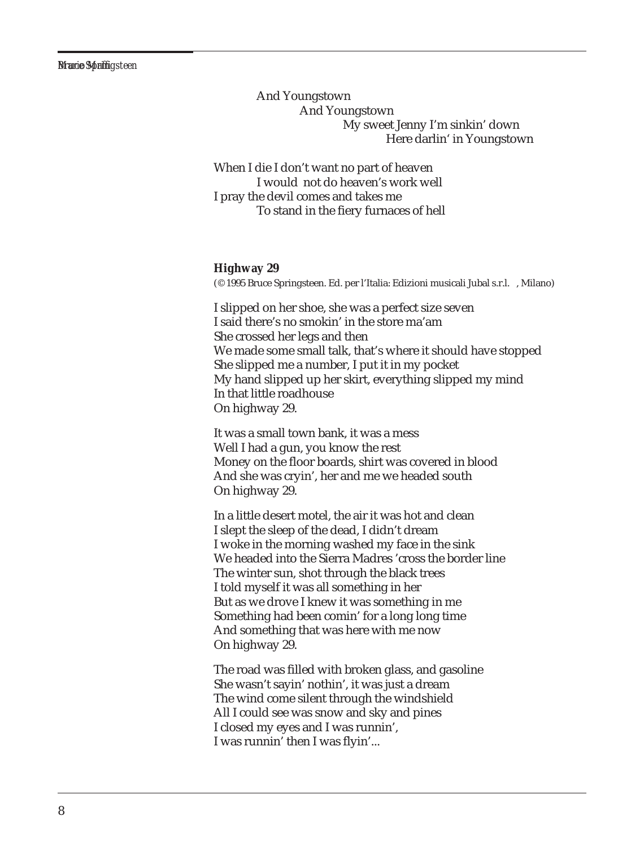And Youngstown And Youngstown My sweet Jenny I'm sinkin' down Here darlin' in Youngstown

When I die I don't want no part of heaven I would not do heaven's work well I pray the devil comes and takes me To stand in the fiery furnaces of hell

### **Highway 29**

(© 1995 Bruce Springsteen. Ed. per l'Italia: Edizioni musicali Jubal s.r.l. , Milano)

I slipped on her shoe, she was a perfect size seven I said there's no smokin' in the store ma'am She crossed her legs and then We made some small talk, that's where it should have stopped She slipped me a number, I put it in my pocket My hand slipped up her skirt, everything slipped my mind In that little roadhouse On highway 29.

It was a small town bank, it was a mess Well I had a gun, you know the rest Money on the floor boards, shirt was covered in blood And she was cryin', her and me we headed south On highway 29.

In a little desert motel, the air it was hot and clean I slept the sleep of the dead, I didn't dream I woke in the morning washed my face in the sink We headed into the Sierra Madres 'cross the border line The winter sun, shot through the black trees I told myself it was all something in her But as we drove I knew it was something in me Something had been comin' for a long long time And something that was here with me now On highway 29.

The road was filled with broken glass, and gasoline She wasn't sayin' nothin', it was just a dream The wind come silent through the windshield All I could see was snow and sky and pines I closed my eyes and I was runnin', I was runnin' then I was flyin'...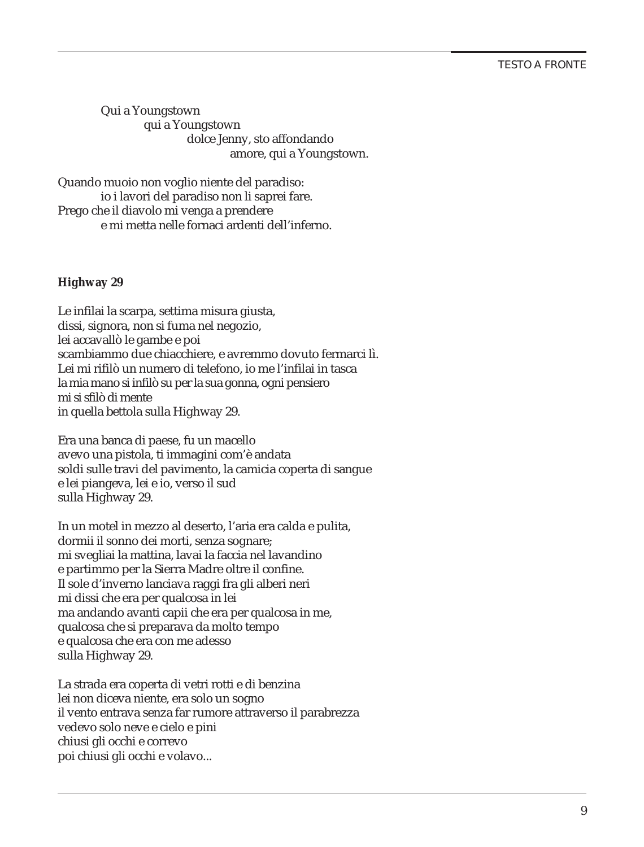Qui a Youngstown qui a Youngstown dolce Jenny, sto affondando amore, qui a Youngstown.

Quando muoio non voglio niente del paradiso: io i lavori del paradiso non li saprei fare. Prego che il diavolo mi venga a prendere e mi metta nelle fornaci ardenti dell'inferno.

# **Highway 29**

Le infilai la scarpa, settima misura giusta, dissi, signora, non si fuma nel negozio, lei accavallò le gambe e poi scambiammo due chiacchiere, e avremmo dovuto fermarci lì. Lei mi rifilò un numero di telefono, io me l'infilai in tasca la mia mano si infilò su per la sua gonna, ogni pensiero mi si sfilò di mente in quella bettola sulla Highway 29.

Era una banca di paese, fu un macello avevo una pistola, ti immagini com'è andata soldi sulle travi del pavimento, la camicia coperta di sangue e lei piangeva, lei e io, verso il sud sulla Highway 29.

In un motel in mezzo al deserto, l'aria era calda e pulita, dormii il sonno dei morti, senza sognare; mi svegliai la mattina, lavai la faccia nel lavandino e partimmo per la Sierra Madre oltre il confine. Il sole d'inverno lanciava raggi fra gli alberi neri mi dissi che era per qualcosa in lei ma andando avanti capii che era per qualcosa in me, qualcosa che si preparava da molto tempo e qualcosa che era con me adesso sulla Highway 29.

La strada era coperta di vetri rotti e di benzina lei non diceva niente, era solo un sogno il vento entrava senza far rumore attraverso il parabrezza vedevo solo neve e cielo e pini chiusi gli occhi e correvo poi chiusi gli occhi e volavo...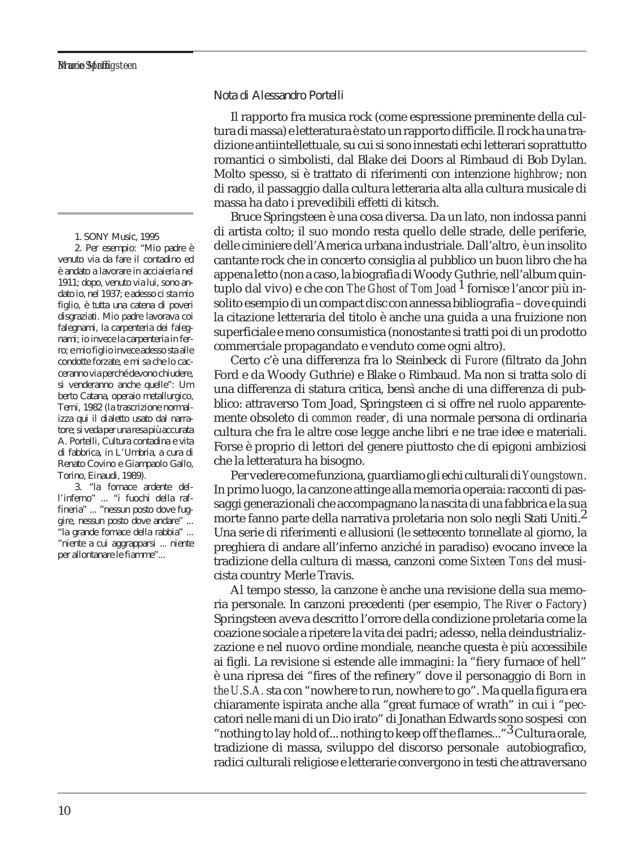### **1.** SONY Music, 1995

**2.** Per esempio: "Mio padre è venuto via da fare il contadino ed è andato a lavorare in acciaieria nel 1911; dopo, venuto via lui, sono andato io, nel 1937; e adesso ci sta mio figlio, è tutta una catena di poveri disgraziati. Mio padre lavorava coi falegnami, la carpenteria dei falegnami; io invece la carpenteria in ferro; e mio figlio invece adesso sta alle condotte forzate, e mi sa che lo cacceranno via perché devono chiudere, si venderanno anche quelle": Um berto Catana, operaio metallurgico, Terni, 1982 (la trascrizione normalizza qui il dialetto usato dal narratore; si veda per una resa più accurata A. Portelli, Cultura contadina e vita di fabbrica, in L'Umbria, a cura di Renato Covino e Giampaolo Gallo, Torino, Einaudi, 1989).

**3.** "la fornace ardente dell'inferno" ... "i fuochi della raffineria" ... "nessun posto dove fuggire, nessun posto dove andare" ... "la grande fornace della rabbia" ... "niente a cui aggrapparsi ... niente per allontanare le fiamme"...

### **Nota di Alessandro Portelli**

Il rapporto fra musica rock (come espressione preminente della cultura di massa) e letteratura è stato un rapporto difficile. Il rock ha una tradizione antiintellettuale, su cui si sono innestati echi letterari soprattutto romantici o simbolisti, dal Blake dei Doors al Rimbaud di Bob Dylan. Molto spesso, si è trattato di riferimenti con intenzione *highbrow*; non di rado, il passaggio dalla cultura letteraria alta alla cultura musicale di massa ha dato i prevedibili effetti di kitsch.

Bruce Springsteen è una cosa diversa. Da un lato, non indossa panni di artista colto; il suo mondo resta quello delle strade, delle periferie, delle ciminiere dell'America urbana industriale. Dall'altro, è un insolito cantante rock che in concerto consiglia al pubblico un buon libro che ha appena letto (non a caso, la biografia di Woody Guthrie, nell'album quintuplo dal vivo) e che con *The Ghost of Tom Joad*<sup>1</sup> fornisce l'ancor più insolito esempio di un compact disc con annessa bibliografia – dove quindi la citazione letteraria del titolo è anche una guida a una fruizione non superficiale e meno consumistica (nonostante si tratti poi di un prodotto commerciale propagandato e venduto come ogni altro).

Certo c'è una differenza fra lo Steinbeck di *Furore* (filtrato da John Ford e da Woody Guthrie) e Blake o Rimbaud. Ma non si tratta solo di una differenza di statura critica, bensì anche di una differenza di pubblico: attraverso Tom Joad, Springsteen ci si offre nel ruolo apparentemente obsoleto di *common reader*, di una normale persona di ordinaria cultura che fra le altre cose legge anche libri e ne trae idee e materiali. Forse è proprio di lettori del genere piuttosto che di epigoni ambiziosi che la letteratura ha bisogno.

Per vedere come funziona, guardiamo gli echi culturali di *Youngstown*. In primo luogo, la canzone attinge alla memoria operaia: racconti di passaggi generazionali che accompagnano la nascita di una fabbrica e la sua morte fanno parte della narrativa proletaria non solo negli Stati Uniti.<sup>2</sup> Una serie di riferimenti e allusioni (le settecento tonnellate al giorno, la preghiera di andare all'inferno anziché in paradiso) evocano invece la tradizione della cultura di massa, canzoni come *Sixteen Tons* del musicista country Merle Travis.

Al tempo stesso, la canzone è anche una revisione della sua memoria personale. In canzoni precedenti (per esempio, *The River* o *Factory*) Springsteen aveva descritto l'orrore della condizione proletaria come la coazione sociale a ripetere la vita dei padri; adesso, nella deindustrializzazione e nel nuovo ordine mondiale, neanche questa è più accessibile ai figli. La revisione si estende alle immagini: la "fiery furnace of hell" è una ripresa dei "fires of the refinery" dove il personaggio di *Born in the U.S.A.* sta con "nowhere to run, nowhere to go". Ma quella figura era chiaramente ispirata anche alla "great furnace of wrath" in cui i "peccatori nelle mani di un Dio irato" di Jonathan Edwards sono sospesi con "nothing to lay hold of... nothing to keep off the flames..."<sup>3</sup> Cultura orale, tradizione di massa, sviluppo del discorso personale autobiografico, radici culturali religiose e letterarie convergono in testi che attraversano